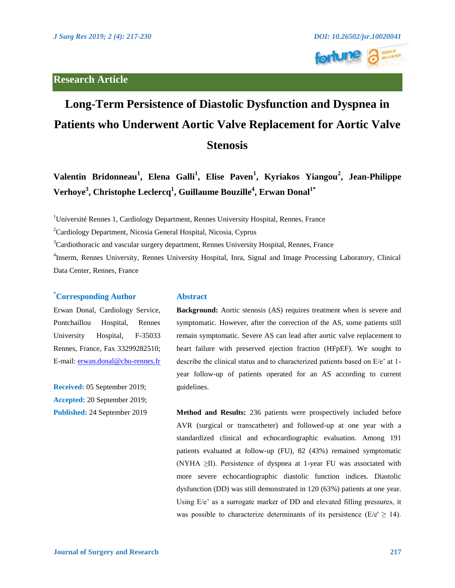## **Research Article**





# **Long-Term Persistence of Diastolic Dysfunction and Dyspnea in Patients who Underwent Aortic Valve Replacement for Aortic Valve Stenosis**

**Valentin Bridonneau<sup>1</sup> , Elena Galli<sup>1</sup> , Elise Paven<sup>1</sup> , Kyriakos Yiangou<sup>2</sup> , Jean-Philippe Verhoye3 , Christophe Leclercq<sup>1</sup> , Guillaume Bouzille<sup>4</sup> , Erwan Donal1\***

<sup>1</sup>Université Rennes 1, Cardiology Department, Rennes University Hospital, Rennes, France

<sup>2</sup>Cardiology Department, Nicosia General Hospital, Nicosia, Cyprus

<sup>3</sup>Cardiothoracic and vascular surgery department, Rennes University Hospital, Rennes, France

4 Inserm, Rennes University, Rennes University Hospital, Inra, Signal and Image Processing Laboratory, Clinical Data Center, Rennes, France

## **\* Corresponding Author**

Erwan Donal, Cardiology Service, Pontchaillou Hospital, Rennes University Hospital, F-35033 Rennes, France, Fax 33299282510; E-mail:<erwan.donal@chu-rennes.fr>

**Received:** 05 September 2019; **Accepted:** 20 September 2019; **Published:** 24 September 2019

### **Abstract**

**Background:** Aortic stenosis (AS) requires treatment when is severe and symptomatic. However, after the correction of the AS, some patients still remain symptomatic. Severe AS can lead after aortic valve replacement to heart failure with preserved ejection fraction (HFpEF). We sought to describe the clinical status and to characterized patients based on E/e' at 1 year follow-up of patients operated for an AS according to current guidelines.

**Method and Results:** 236 patients were prospectively included before AVR (surgical or transcatheter) and followed-up at one year with a standardized clinical and echocardiographic evaluation. Among 191 patients evaluated at follow-up (FU), 82 (43%) remained symptomatic (NYHA ≥II). Persistence of dyspnea at 1-year FU was associated with more severe echocardiographic diastolic function indices. Diastolic dysfunction (DD) was still demonstrated in 120 (63%) patients at one year. Using E/e' as a surrogate marker of DD and elevated filling pressures, it was possible to characterize determinants of its persistence ( $E/e' \geq 14$ ).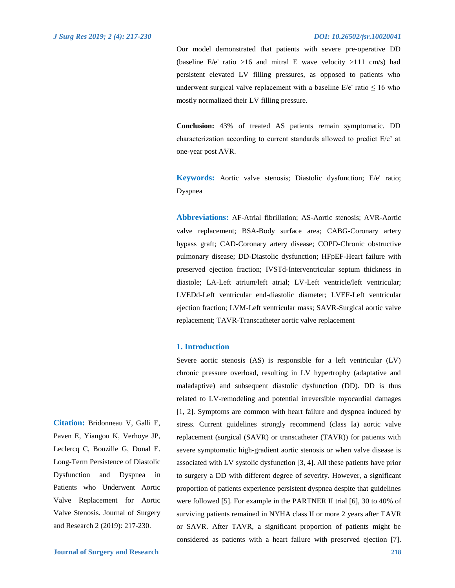Our model demonstrated that patients with severe pre-operative DD (baseline  $E/e'$  ratio >16 and mitral E wave velocity >111 cm/s) had persistent elevated LV filling pressures, as opposed to patients who underwent surgical valve replacement with a baseline  $E/e'$  ratio  $\leq 16$  who mostly normalized their LV filling pressure.

**Conclusion:** 43% of treated AS patients remain symptomatic. DD characterization according to current standards allowed to predict E/e' at one-year post AVR.

**Keywords:** Aortic valve stenosis; Diastolic dysfunction; E/e' ratio; Dyspnea

**Abbreviations:** AF-Atrial fibrillation; AS-Aortic stenosis; AVR-Aortic valve replacement; BSA-Body surface area; CABG-Coronary artery bypass graft; CAD-Coronary artery disease; COPD-Chronic obstructive pulmonary disease; DD-Diastolic dysfunction; HFpEF-Heart failure with preserved ejection fraction; IVSTd-Interventricular septum thickness in diastole; LA-Left atrium/left atrial; LV-Left ventricle/left ventricular; LVEDd-Left ventricular end-diastolic diameter; LVEF-Left ventricular ejection fraction; LVM-Left ventricular mass; SAVR-Surgical aortic valve replacement; TAVR-Transcatheter aortic valve replacement

## **1. Introduction**

Severe aortic stenosis (AS) is responsible for a left ventricular (LV) chronic pressure overload, resulting in LV hypertrophy (adaptative and maladaptive) and subsequent diastolic dysfunction (DD). DD is thus related to LV-remodeling and potential irreversible myocardial damages [1, 2]. Symptoms are common with heart failure and dyspnea induced by stress. Current guidelines strongly recommend (class Ia) aortic valve replacement (surgical (SAVR) or transcatheter (TAVR)) for patients with severe symptomatic high-gradient aortic stenosis or when valve disease is associated with LV systolic dysfunction [3, 4]. All these patients have prior to surgery a DD with different degree of severity. However, a significant proportion of patients experience persistent dyspnea despite that guidelines were followed [5]. For example in the PARTNER II trial [6], 30 to 40% of surviving patients remained in NYHA class II or more 2 years after TAVR or SAVR. After TAVR, a significant proportion of patients might be considered as patients with a heart failure with preserved ejection [7].

**Citation:** Bridonneau V, Galli E, Paven E, Yiangou K, Verhoye JP, Leclercq C, Bouzille G, Donal E. Long-Term Persistence of Diastolic Dysfunction and Dyspnea in Patients who Underwent Aortic Valve Replacement for Aortic Valve Stenosis. Journal of Surgery and Research 2 (2019): 217-230.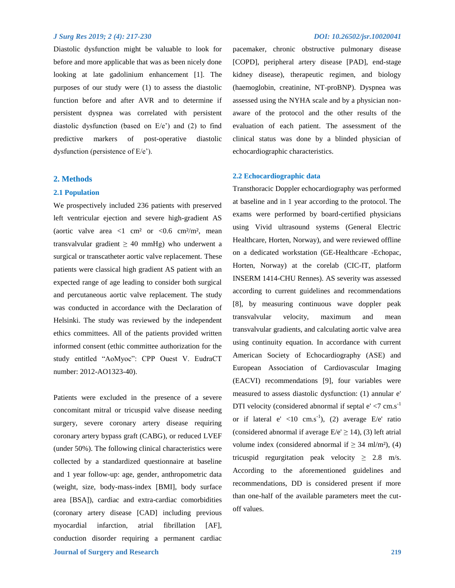Diastolic dysfunction might be valuable to look for before and more applicable that was as been nicely done looking at late gadolinium enhancement [1]. The purposes of our study were (1) to assess the diastolic function before and after AVR and to determine if persistent dyspnea was correlated with persistent diastolic dysfunction (based on E/e') and (2) to find predictive markers of post-operative diastolic dysfunction (persistence of E/e').

## **2. Methods**

## **2.1 Population**

We prospectively included 236 patients with preserved left ventricular ejection and severe high-gradient AS (aortic valve area  $\langle 1 \text{ cm}^2 \text{ or } \langle 0.6 \text{ cm}^2/\text{m}^2 \rangle$ , mean transvalvular gradient  $\geq 40$  mmHg) who underwent a surgical or transcatheter aortic valve replacement. These patients were classical high gradient AS patient with an expected range of age leading to consider both surgical and percutaneous aortic valve replacement. The study was conducted in accordance with the Declaration of Helsinki. The study was reviewed by the independent ethics committees. All of the patients provided written informed consent (ethic committee authorization for the study entitled "AoMyoc": CPP Ouest V. EudraCT number: 2012-AO1323-40).

**Journal of Surgery and Research 219** Patients were excluded in the presence of a severe concomitant mitral or tricuspid valve disease needing surgery, severe coronary artery disease requiring coronary artery bypass graft (CABG), or reduced LVEF (under 50%). The following clinical characteristics were collected by a standardized questionnaire at baseline and 1 year follow-up: age, gender, anthropometric data (weight, size, body-mass-index [BMI], body surface area [BSA]), cardiac and extra-cardiac comorbidities (coronary artery disease [CAD] including previous myocardial infarction, atrial fibrillation [AF], conduction disorder requiring a permanent cardiac

pacemaker, chronic obstructive pulmonary disease [COPD], peripheral artery disease [PAD], end-stage kidney disease), therapeutic regimen, and biology (haemoglobin, creatinine, NT-proBNP). Dyspnea was assessed using the NYHA scale and by a physician nonaware of the protocol and the other results of the evaluation of each patient. The assessment of the clinical status was done by a blinded physician of echocardiographic characteristics.

## **2.2 Echocardiographic data**

Transthoracic Doppler echocardiography was performed at baseline and in 1 year according to the protocol. The exams were performed by board-certified physicians using Vivid ultrasound systems (General Electric Healthcare, Horten, Norway), and were reviewed offline on a dedicated workstation (GE-Healthcare -Echopac, Horten, Norway) at the corelab (CIC-IT, platform INSERM 1414-CHU Rennes). AS severity was assessed according to current guidelines and recommendations [8], by measuring continuous wave doppler peak transvalvular velocity, maximum and mean transvalvular gradients, and calculating aortic valve area using continuity equation. In accordance with current American Society of Echocardiography (ASE) and European Association of Cardiovascular Imaging (EACVI) recommendations [9], four variables were measured to assess diastolic dysfunction: (1) annular e' DTI velocity (considered abnormal if septal  $e' < 7$  cm.s<sup>-1</sup> or if lateral  $e' < 10$  cm.s<sup>-1</sup>), (2) average  $E/e'$  ratio (considered abnormal if average  $E/e' \ge 14$ ), (3) left atrial volume index (considered abnormal if  $\geq$  34 ml/m<sup>2</sup>), (4) tricuspid regurgitation peak velocity  $\geq$  2.8 m/s. According to the aforementioned guidelines and recommendations, DD is considered present if more than one-half of the available parameters meet the cutoff values.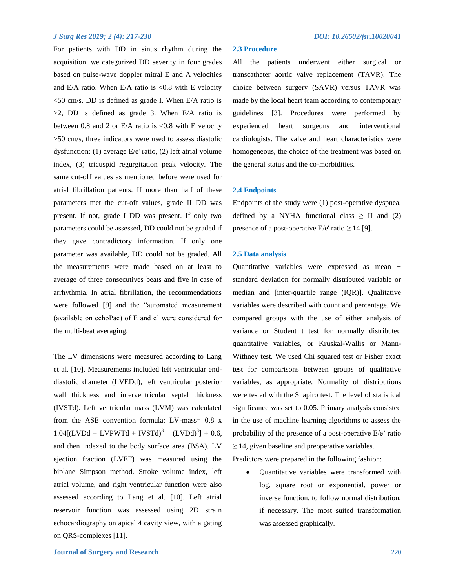For patients with DD in sinus rhythm during the acquisition, we categorized DD severity in four grades based on pulse-wave doppler mitral E and A velocities and E/A ratio. When E/A ratio is  $< 0.8$  with E velocity <50 cm/s, DD is defined as grade I. When E/A ratio is >2, DD is defined as grade 3. When E/A ratio is between 0.8 and 2 or E/A ratio is  $<$  0.8 with E velocity >50 cm/s, three indicators were used to assess diastolic dysfunction: (1) average E/e' ratio, (2) left atrial volume index, (3) tricuspid regurgitation peak velocity. The same cut-off values as mentioned before were used for atrial fibrillation patients. If more than half of these parameters met the cut-off values, grade II DD was present. If not, grade I DD was present. If only two parameters could be assessed, DD could not be graded if they gave contradictory information. If only one parameter was available, DD could not be graded. All the measurements were made based on at least to average of three consecutives beats and five in case of arrhythmia. In atrial fibrillation, the recommendations were followed [9] and the "automated measurement (available on echoPac) of E and e' were considered for the multi-beat averaging.

The LV dimensions were measured according to Lang et al. [10]. Measurements included left ventricular enddiastolic diameter (LVEDd), left ventricular posterior wall thickness and interventricular septal thickness (IVSTd). Left ventricular mass (LVM) was calculated from the ASE convention formula: LV-mass= 0.8 x  $1.04[(LVDd + LVPWTd + IVSTd)^3 - (LVDd)^3] + 0.6$ , and then indexed to the body surface area (BSA). LV ejection fraction (LVEF) was measured using the biplane Simpson method. Stroke volume index, left atrial volume, and right ventricular function were also assessed according to Lang et al. [10]. Left atrial reservoir function was assessed using 2D strain echocardiography on apical 4 cavity view, with a gating on QRS-complexes [11].

## **2.3 Procedure**

All the patients underwent either surgical or transcatheter aortic valve replacement (TAVR). The choice between surgery (SAVR) versus TAVR was made by the local heart team according to contemporary guidelines [3]. Procedures were performed by experienced heart surgeons and interventional cardiologists. The valve and heart characteristics were homogeneous, the choice of the treatment was based on the general status and the co-morbidities.

## **2.4 Endpoints**

Endpoints of the study were (1) post-operative dyspnea, defined by a NYHA functional class  $\geq$  II and (2) presence of a post-operative E/e' ratio  $\geq$  14 [9].

## **2.5 Data analysis**

Quantitative variables were expressed as mean ± standard deviation for normally distributed variable or median and [inter-quartile range (IQR)]. Qualitative variables were described with count and percentage. We compared groups with the use of either analysis of variance or Student t test for normally distributed quantitative variables, or Kruskal-Wallis or Mann-Withney test. We used Chi squared test or Fisher exact test for comparisons between groups of qualitative variables, as appropriate. Normality of distributions were tested with the Shapiro test. The level of statistical significance was set to 0.05. Primary analysis consisted in the use of machine learning algorithms to assess the probability of the presence of a post-operative E/e' ratio  $\geq$  14, given baseline and preoperative variables.

Predictors were prepared in the following fashion:

 Quantitative variables were transformed with log, square root or exponential, power or inverse function, to follow normal distribution, if necessary. The most suited transformation was assessed graphically.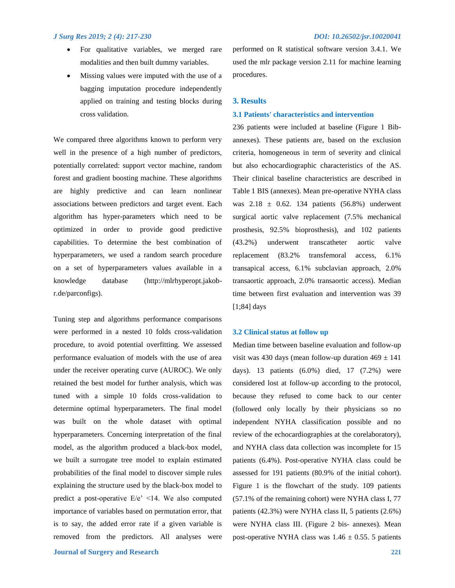- For qualitative variables, we merged rare modalities and then built dummy variables.
- Missing values were imputed with the use of a bagging imputation procedure independently applied on training and testing blocks during cross validation.

We compared three algorithms known to perform very well in the presence of a high number of predictors, potentially correlated: support vector machine, random forest and gradient boosting machine. These algorithms are highly predictive and can learn nonlinear associations between predictors and target event. Each algorithm has hyper-parameters which need to be optimized in order to provide good predictive capabilities. To determine the best combination of hyperparameters, we used a random search procedure on a set of hyperparameters values available in a knowledge database (http://mlrhyperopt.jakobr.de/parconfigs).

Tuning step and algorithms performance comparisons were performed in a nested 10 folds cross-validation procedure, to avoid potential overfitting. We assessed performance evaluation of models with the use of area under the receiver operating curve (AUROC). We only retained the best model for further analysis, which was tuned with a simple 10 folds cross-validation to determine optimal hyperparameters. The final model was built on the whole dataset with optimal hyperparameters. Concerning interpretation of the final model, as the algorithm produced a black-box model, we built a surrogate tree model to explain estimated probabilities of the final model to discover simple rules explaining the structure used by the black-box model to predict a post-operative E/e' <14. We also computed importance of variables based on permutation error, that is to say, the added error rate if a given variable is removed from the predictors. All analyses were

**Journal of Surgery and Research 221**

performed on R statistical software version 3.4.1. We used the mlr package version 2.11 for machine learning procedures.

### **3. Results**

## **3.1 Patients' characteristics and intervention**

236 patients were included at baseline (Figure 1 Bibannexes). These patients are, based on the exclusion criteria, homogeneous in term of severity and clinical but also echocardiographic characteristics of the AS. Their clinical baseline characteristics are described in Table 1 BIS (annexes). Mean pre-operative NYHA class was  $2.18 \pm 0.62$ . 134 patients (56.8%) underwent surgical aortic valve replacement (7.5% mechanical prosthesis, 92.5% bioprosthesis), and 102 patients (43.2%) underwent transcatheter aortic valve replacement (83.2% transfemoral access, 6.1% transapical access, 6.1% subclavian approach, 2.0% transaortic approach, 2.0% transaortic access). Median time between first evaluation and intervention was 39 [1;84] days

### **3.2 Clinical status at follow up**

Median time between baseline evaluation and follow-up visit was 430 days (mean follow-up duration  $469 \pm 141$ days). 13 patients (6.0%) died, 17 (7.2%) were considered lost at follow-up according to the protocol, because they refused to come back to our center (followed only locally by their physicians so no independent NYHA classification possible and no review of the echocardiographies at the corelaboratory), and NYHA class data collection was incomplete for 15 patients (6.4%). Post-operative NYHA class could be assessed for 191 patients (80.9% of the initial cohort). Figure 1 is the flowchart of the study. 109 patients (57.1% of the remaining cohort) were NYHA class I, 77 patients (42.3%) were NYHA class II, 5 patients (2.6%) were NYHA class III. (Figure 2 bis- annexes). Mean post-operative NYHA class was  $1.46 \pm 0.55$ . 5 patients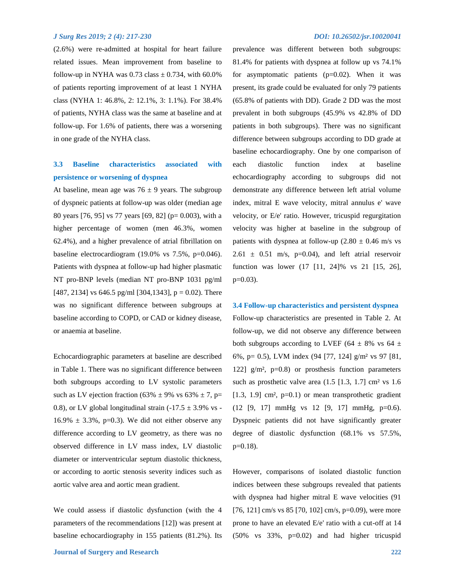(2.6%) were re-admitted at hospital for heart failure related issues. Mean improvement from baseline to follow-up in NYHA was  $0.73$  class  $\pm$  0.734, with 60.0% of patients reporting improvement of at least 1 NYHA class (NYHA 1: 46.8%, 2: 12.1%, 3: 1.1%). For 38.4% of patients, NYHA class was the same at baseline and at follow-up. For 1.6% of patients, there was a worsening in one grade of the NYHA class.

## **3.3 Baseline characteristics associated with persistence or worsening of dyspnea**

At baseline, mean age was  $76 \pm 9$  years. The subgroup of dyspneic patients at follow-up was older (median age 80 years [76, 95] vs 77 years [69, 82] (p= 0.003), with a higher percentage of women (men 46.3%, women 62.4%), and a higher prevalence of atrial fibrillation on baseline electrocardiogram (19.0% vs 7.5%, p=0.046). Patients with dyspnea at follow-up had higher plasmatic NT pro-BNP levels (median NT pro-BNP 1031 pg/ml [487, 2134] vs 646.5 pg/ml [304,1343],  $p = 0.02$ ). There was no significant difference between subgroups at baseline according to COPD, or CAD or kidney disease, or anaemia at baseline.

Echocardiographic parameters at baseline are described in Table 1. There was no significant difference between both subgroups according to LV systolic parameters such as LV ejection fraction (63%  $\pm$  9% vs 63%  $\pm$  7, p= 0.8), or LV global longitudinal strain  $(-17.5 \pm 3.9\% \text{ vs } -10.8)$  $16.9\% \pm 3.3\%, p=0.3$ . We did not either observe any difference according to LV geometry, as there was no observed difference in LV mass index, LV diastolic diameter or interventricular septum diastolic thickness, or according to aortic stenosis severity indices such as aortic valve area and aortic mean gradient.

We could assess if diastolic dysfunction (with the 4 parameters of the recommendations [12]) was present at baseline echocardiography in 155 patients (81.2%). Its

prevalence was different between both subgroups: 81.4% for patients with dyspnea at follow up vs 74.1% for asymptomatic patients  $(p=0.02)$ . When it was present, its grade could be evaluated for only 79 patients (65.8% of patients with DD). Grade 2 DD was the most prevalent in both subgroups (45.9% vs 42.8% of DD patients in both subgroups). There was no significant difference between subgroups according to DD grade at baseline echocardiography. One by one comparison of each diastolic function index at baseline echocardiography according to subgroups did not demonstrate any difference between left atrial volume index, mitral E wave velocity, mitral annulus e' wave velocity, or E/e' ratio. However, tricuspid regurgitation velocity was higher at baseline in the subgroup of patients with dyspnea at follow-up  $(2.80 \pm 0.46 \text{ m/s} \text{ vs }$  $2.61 \pm 0.51$  m/s, p=0.04), and left atrial reservoir function was lower (17 [11, 24]% vs 21 [15, 26],  $p=0.03$ ).

## **3.4 Follow-up characteristics and persistent dyspnea**

Follow-up characteristics are presented in Table 2. At follow-up, we did not observe any difference between both subgroups according to LVEF (64  $\pm$  8% vs 64  $\pm$ 6%, p= 0.5), LVM index (94 [77, 124] g/m² vs 97 [81, 122]  $g/m^2$ , p=0.8) or prosthesis function parameters such as prosthetic valve area  $(1.5 \, [1.3, 1.7] \, \text{cm}^2 \, \text{vs} \, 1.6)$  $[1.3, 1.9]$  cm<sup>2</sup>,  $p=0.1$ ) or mean transprothetic gradient (12 [9, 17] mmHg vs 12 [9, 17] mmHg, p=0.6). Dyspneic patients did not have significantly greater degree of diastolic dysfunction (68.1% vs 57.5%,  $p=0.18$ ).

However, comparisons of isolated diastolic function indices between these subgroups revealed that patients with dyspnea had higher mitral E wave velocities (91 [76, 121] cm/s vs 85 [70, 102] cm/s, p=0.09), were more prone to have an elevated E/e' ratio with a cut-off at 14 (50% vs 33%, p=0.02) and had higher tricuspid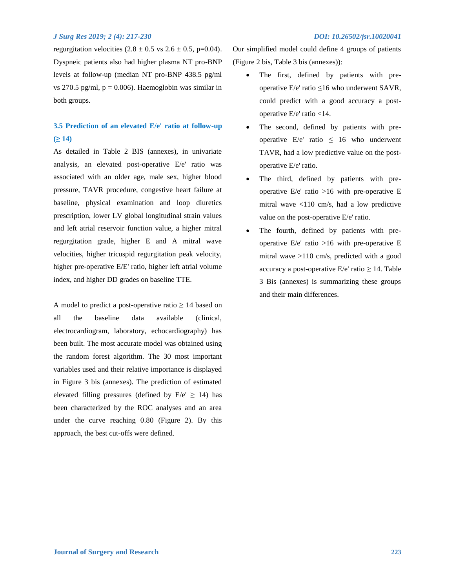regurgitation velocities  $(2.8 \pm 0.5 \text{ vs } 2.6 \pm 0.5, \text{ p=0.04}).$ Dyspneic patients also had higher plasma NT pro-BNP levels at follow-up (median NT pro-BNP 438.5 pg/ml vs 270.5 pg/ml,  $p = 0.006$ ). Haemoglobin was similar in both groups.

## **3.5 Prediction of an elevated E/e' ratio at follow-up (≥ 14)**

As detailed in Table 2 BIS (annexes), in univariate analysis, an elevated post-operative E/e' ratio was associated with an older age, male sex, higher blood pressure, TAVR procedure, congestive heart failure at baseline, physical examination and loop diuretics prescription, lower LV global longitudinal strain values and left atrial reservoir function value, a higher mitral regurgitation grade, higher E and A mitral wave velocities, higher tricuspid regurgitation peak velocity, higher pre-operative E/E' ratio, higher left atrial volume index, and higher DD grades on baseline TTE.

A model to predict a post-operative ratio  $\geq 14$  based on all the baseline data available (clinical, electrocardiogram, laboratory, echocardiography) has been built. The most accurate model was obtained using the random forest algorithm. The 30 most important variables used and their relative importance is displayed in Figure 3 bis (annexes). The prediction of estimated elevated filling pressures (defined by  $E/e' \ge 14$ ) has been characterized by the ROC analyses and an area under the curve reaching 0.80 (Figure 2). By this approach, the best cut-offs were defined.

Our simplified model could define 4 groups of patients (Figure 2 bis, Table 3 bis (annexes)):

- The first, defined by patients with preoperative E/e' ratio ≤16 who underwent SAVR, could predict with a good accuracy a postoperative E/e' ratio <14.
- The second, defined by patients with preoperative  $E/e'$  ratio  $\leq 16$  who underwent TAVR, had a low predictive value on the postoperative E/e' ratio.
- The third, defined by patients with preoperative  $E/e'$  ratio >16 with pre-operative E mitral wave <110 cm/s, had a low predictive value on the post-operative E/e' ratio.
- The fourth, defined by patients with preoperative  $E/e'$  ratio  $>16$  with pre-operative E mitral wave >110 cm/s, predicted with a good accuracy a post-operative  $E/e'$  ratio  $\geq 14$ . Table 3 Bis (annexes) is summarizing these groups and their main differences.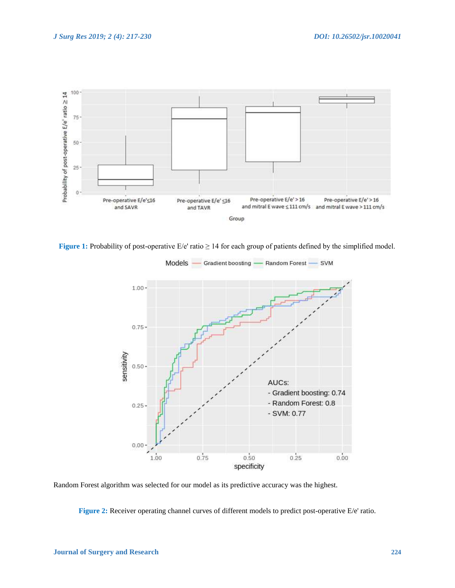

**Figure 1:** Probability of post-operative E/e' ratio ≥ 14 for each group of patients defined by the simplified model.



Models -- Gradient boosting -- Random Forest -SVM

Random Forest algorithm was selected for our model as its predictive accuracy was the highest.

**Figure 2:** Receiver operating channel curves of different models to predict post-operative E/e' ratio.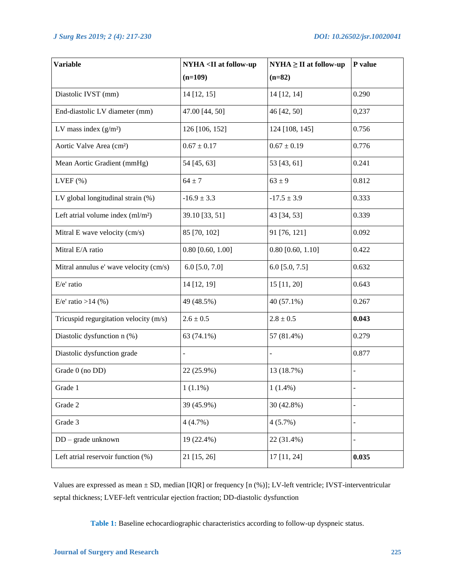| <b>Variable</b>                        | NYHA <ii at="" follow-up<="" th=""><th><math>NYHA \geq II</math> at follow-up</th><th>P value</th></ii> | $NYHA \geq II$ at follow-up | P value        |
|----------------------------------------|---------------------------------------------------------------------------------------------------------|-----------------------------|----------------|
|                                        | $(n=109)$                                                                                               | $(n=82)$                    |                |
| Diastolic IVST (mm)                    | 14 [12, 15]                                                                                             | 14 [12, 14]                 | 0.290          |
| End-diastolic LV diameter (mm)         | 47.00 [44, 50]                                                                                          | 46 [42, 50]                 | 0,237          |
| LV mass index $(g/m2)$                 | 126 [106, 152]                                                                                          | 124 [108, 145]              | 0.756          |
| Aortic Valve Area (cm <sup>2</sup> )   | $0.67 \pm 0.17$                                                                                         | $0.67 \pm 0.19$             | 0.776          |
| Mean Aortic Gradient (mmHg)            | 54 [45, 63]                                                                                             | 53 [43, 61]                 | 0.241          |
| $LVEF$ $(\%)$                          | $64 \pm 7$                                                                                              | $63 \pm 9$                  | 0.812          |
| LV global longitudinal strain (%)      | $-16.9 \pm 3.3$                                                                                         | $-17.5 \pm 3.9$             | 0.333          |
| Left atrial volume index $(ml/m2)$     | 39.10 [33, 51]                                                                                          | 43 [34, 53]                 | 0.339          |
| Mitral E wave velocity (cm/s)          | 85 [70, 102]                                                                                            | 91 [76, 121]                | 0.092          |
| Mitral E/A ratio                       | $0.80$ [0.60, 1.00]                                                                                     | $0.80$ [0.60, 1.10]         | 0.422          |
| Mitral annulus e' wave velocity (cm/s) | 6.0 $[5.0, 7.0]$                                                                                        | $6.0$ [5.0, 7.5]            | 0.632          |
| E/e' ratio                             | 14 [12, 19]                                                                                             | 15 [11, 20]                 | 0.643          |
| E/e' ratio >14 $(\% )$                 | 49 (48.5%)                                                                                              | 40 (57.1%)                  | 0.267          |
| Tricuspid regurgitation velocity (m/s) | $2.6 \pm 0.5$                                                                                           | $2.8 \pm 0.5$               | 0.043          |
| Diastolic dysfunction n (%)            | 63 (74.1%)                                                                                              | 57 (81.4%)                  | 0.279          |
| Diastolic dysfunction grade            |                                                                                                         |                             | 0.877          |
| Grade 0 (no DD)                        | 22 (25.9%)                                                                                              | 13 (18.7%)                  | $\overline{a}$ |
| Grade 1                                | $1(1.1\%)$                                                                                              | $1(1.4\%)$                  | $\overline{a}$ |
| Grade 2                                | 39 (45.9%)                                                                                              | 30 (42.8%)                  |                |
| Grade 3                                | 4(4.7%)                                                                                                 | 4(5.7%)                     |                |
| $DD - grade$ unknown                   | 19 (22.4%)                                                                                              | 22 (31.4%)                  | ÷,             |
| Left atrial reservoir function (%)     | 21 [15, 26]                                                                                             | 17 [11, 24]                 | 0.035          |

Values are expressed as mean ± SD, median [IQR] or frequency [n (%)]; LV-left ventricle; IVST-interventricular septal thickness; LVEF-left ventricular ejection fraction; DD-diastolic dysfunction

**Table 1:** Baseline echocardiographic characteristics according to follow-up dyspneic status.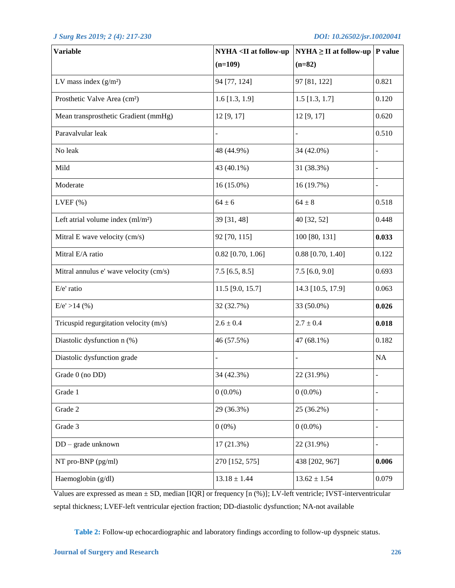| <b>Variable</b>                          | NYHA <ii at="" follow-up<="" th=""><th><math>NYHA \geq II</math> at follow-up   P value</th><th></th></ii> | $NYHA \geq II$ at follow-up   P value |           |
|------------------------------------------|------------------------------------------------------------------------------------------------------------|---------------------------------------|-----------|
|                                          | $(n=109)$                                                                                                  | $(n=82)$                              |           |
| LV mass index $(g/m2)$                   | 94 [77, 124]                                                                                               | 97 [81, 122]                          | 0.821     |
| Prosthetic Valve Area (cm <sup>2</sup> ) | $1.6$ [1.3, 1.9]                                                                                           | $1.5$ [1.3, 1.7]                      | 0.120     |
| Mean transprosthetic Gradient (mmHg)     | 12 [9, 17]                                                                                                 | 12 [9, 17]                            | 0.620     |
| Paravalvular leak                        |                                                                                                            | $\blacksquare$                        | 0.510     |
| No leak                                  | 48 (44.9%)                                                                                                 | 34 (42.0%)                            |           |
| Mild                                     | 43 (40.1%)                                                                                                 | 31 (38.3%)                            |           |
| Moderate                                 | 16 (15.0%)                                                                                                 | 16 (19.7%)                            |           |
| $LVEF$ $(\%)$                            | $64 \pm 6$                                                                                                 | $64 \pm 8$                            | 0.518     |
| Left atrial volume index $(ml/m2)$       | 39 [31, 48]                                                                                                | 40 [32, 52]                           | 0.448     |
| Mitral E wave velocity (cm/s)            | 92 [70, 115]                                                                                               | 100 [80, 131]                         | 0.033     |
| Mitral E/A ratio                         | $0.82$ [0.70, 1.06]                                                                                        | $0.88$ [0.70, 1.40]                   | 0.122     |
| Mitral annulus e' wave velocity (cm/s)   | $7.5$ [6.5, 8.5]                                                                                           | $7.5$ [6.0, 9.0]                      | 0.693     |
| E/e' ratio                               | 11.5 [9.0, 15.7]                                                                                           | 14.3 [10.5, 17.9]                     | 0.063     |
| $E/e' > 14$ (%)                          | 32 (32.7%)                                                                                                 | 33 (50.0%)                            | 0.026     |
| Tricuspid regurgitation velocity (m/s)   | $2.6 \pm 0.4$                                                                                              | $2.7 \pm 0.4$                         | 0.018     |
| Diastolic dysfunction n (%)              | 46 (57.5%)                                                                                                 | 47 (68.1%)                            | 0.182     |
| Diastolic dysfunction grade              |                                                                                                            | $\blacksquare$                        | <b>NA</b> |
| Grade $0$ (no DD)                        | 34 (42.3%)                                                                                                 | 22 (31.9%)                            |           |
| Grade 1                                  | $0(0.0\%)$                                                                                                 | $0(0.0\%)$                            |           |
| Grade 2                                  | 29 (36.3%)                                                                                                 | 25 (36.2%)                            |           |
| Grade 3                                  | $0(0\%)$                                                                                                   | $0(0.0\%)$                            |           |
| DD - grade unknown                       | 17 (21.3%)                                                                                                 | 22 (31.9%)                            |           |
| NT pro-BNP (pg/ml)                       | 270 [152, 575]                                                                                             | 438 [202, 967]                        | 0.006     |
| Haemoglobin (g/dl)                       | $13.18 \pm 1.44$                                                                                           | $13.62 \pm 1.54$                      | 0.079     |

Values are expressed as mean ± SD, median [IQR] or frequency [n (%)]; LV-left ventricle; IVST-interventricular septal thickness; LVEF-left ventricular ejection fraction; DD-diastolic dysfunction; NA-not available

**Table 2:** Follow-up echocardiographic and laboratory findings according to follow-up dyspneic status.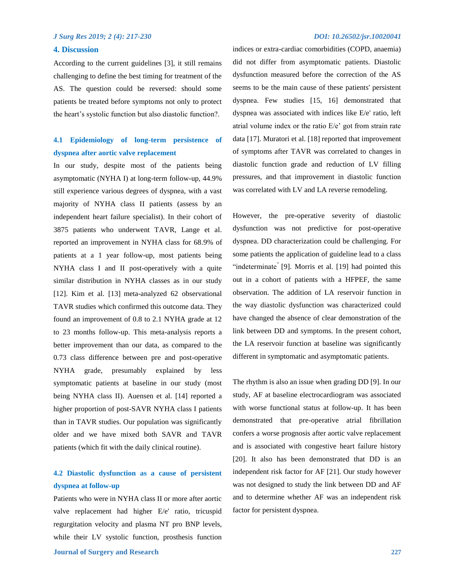## **4. Discussion**

According to the current guidelines [3], it still remains challenging to define the best timing for treatment of the AS. The question could be reversed: should some patients be treated before symptoms not only to protect the heart's systolic function but also diastolic function?.

## **4.1 Epidemiology of long-term persistence of dyspnea after aortic valve replacement**

In our study, despite most of the patients being asymptomatic (NYHA I) at long-term follow-up, 44.9% still experience various degrees of dyspnea, with a vast majority of NYHA class II patients (assess by an independent heart failure specialist). In their cohort of 3875 patients who underwent TAVR, Lange et al. reported an improvement in NYHA class for 68.9% of patients at a 1 year follow-up, most patients being NYHA class I and II post-operatively with a quite similar distribution in NYHA classes as in our study [12]. Kim et al. [13] meta-analyzed 62 observational TAVR studies which confirmed this outcome data. They found an improvement of 0.8 to 2.1 NYHA grade at 12 to 23 months follow-up. This meta-analysis reports a better improvement than our data, as compared to the 0.73 class difference between pre and post-operative NYHA grade, presumably explained by less symptomatic patients at baseline in our study (most being NYHA class II). Auensen et al. [14] reported a higher proportion of post-SAVR NYHA class I patients than in TAVR studies. Our population was significantly older and we have mixed both SAVR and TAVR patients (which fit with the daily clinical routine).

## **4.2 Diastolic dysfunction as a cause of persistent dyspnea at follow-up**

Patients who were in NYHA class II or more after aortic valve replacement had higher E/e' ratio, tricuspid regurgitation velocity and plasma NT pro BNP levels, while their LV systolic function, prosthesis function

indices or extra-cardiac comorbidities (COPD, anaemia) did not differ from asymptomatic patients. Diastolic dysfunction measured before the correction of the AS seems to be the main cause of these patients' persistent dyspnea. Few studies [15, 16] demonstrated that dyspnea was associated with indices like E/e' ratio, left atrial volume index or the ratio E/e' got from strain rate data [17]. Muratori et al. [18] reported that improvement of symptoms after TAVR was correlated to changes in diastolic function grade and reduction of LV filling pressures, and that improvement in diastolic function was correlated with LV and LA reverse remodeling.

However, the pre-operative severity of diastolic dysfunction was not predictive for post-operative dyspnea. DD characterization could be challenging. For some patients the application of guideline lead to a class "indeterminate" [9]. Morris et al. [19] had pointed this out in a cohort of patients with a HFPEF, the same observation. The addition of LA reservoir function in the way diastolic dysfunction was characterized could have changed the absence of clear demonstration of the link between DD and symptoms. In the present cohort, the LA reservoir function at baseline was significantly different in symptomatic and asymptomatic patients.

The rhythm is also an issue when grading DD [9]. In our study, AF at baseline electrocardiogram was associated with worse functional status at follow-up. It has been demonstrated that pre-operative atrial fibrillation confers a worse prognosis after aortic valve replacement and is associated with congestive heart failure history [20]. It also has been demonstrated that DD is an independent risk factor for AF [21]. Our study however was not designed to study the link between DD and AF and to determine whether AF was an independent risk factor for persistent dyspnea.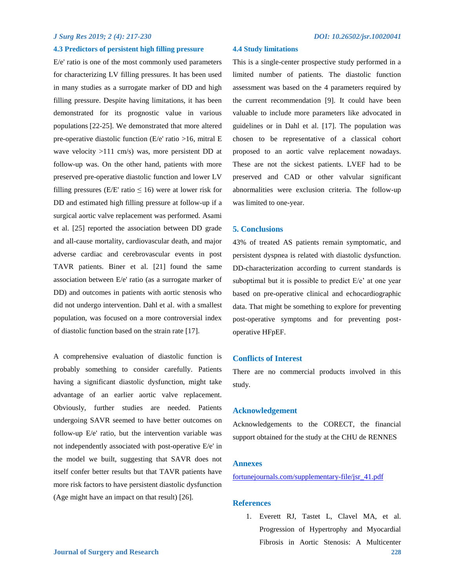## **4.3 Predictors of persistent high filling pressure**

E/e' ratio is one of the most commonly used parameters for characterizing LV filling pressures. It has been used in many studies as a surrogate marker of DD and high filling pressure. Despite having limitations, it has been demonstrated for its prognostic value in various populations [22-25]. We demonstrated that more altered pre-operative diastolic function (E/e' ratio >16, mitral E wave velocity >111 cm/s) was, more persistent DD at follow-up was. On the other hand, patients with more preserved pre-operative diastolic function and lower LV filling pressures (E/E' ratio  $\leq 16$ ) were at lower risk for DD and estimated high filling pressure at follow-up if a surgical aortic valve replacement was performed. Asami et al. [25] reported the association between DD grade and all-cause mortality, cardiovascular death, and major adverse cardiac and cerebrovascular events in post TAVR patients. Biner et al. [21] found the same association between E/e' ratio (as a surrogate marker of DD) and outcomes in patients with aortic stenosis who did not undergo intervention. Dahl et al. with a smallest population, was focused on a more controversial index of diastolic function based on the strain rate [17].

A comprehensive evaluation of diastolic function is probably something to consider carefully. Patients having a significant diastolic dysfunction, might take advantage of an earlier aortic valve replacement. Obviously, further studies are needed. Patients undergoing SAVR seemed to have better outcomes on follow-up E/e' ratio, but the intervention variable was not independently associated with post-operative E/e' in the model we built, suggesting that SAVR does not itself confer better results but that TAVR patients have more risk factors to have persistent diastolic dysfunction (Age might have an impact on that result) [26].

## **4.4 Study limitations**

This is a single-center prospective study performed in a limited number of patients. The diastolic function assessment was based on the 4 parameters required by the current recommendation [9]. It could have been valuable to include more parameters like advocated in guidelines or in Dahl et al. [17]. The population was chosen to be representative of a classical cohort proposed to an aortic valve replacement nowadays. These are not the sickest patients. LVEF had to be preserved and CAD or other valvular significant abnormalities were exclusion criteria. The follow-up was limited to one-year.

## **5. Conclusions**

43% of treated AS patients remain symptomatic, and persistent dyspnea is related with diastolic dysfunction. DD-characterization according to current standards is suboptimal but it is possible to predict E/e' at one year based on pre-operative clinical and echocardiographic data. That might be something to explore for preventing post-operative symptoms and for preventing postoperative HFpEF.

### **Conflicts of Interest**

There are no commercial products involved in this study.

### **Acknowledgement**

Acknowledgements to the CORECT, the financial support obtained for the study at the CHU de RENNES

## **Annexes**

[fortunejournals.com/supplementary-file/jsr\\_41.pdf](fortunejournals.com/supplementary-file/jsr_41.pdf)

## **References**

1. Everett RJ, Tastet L, Clavel MA, et al. Progression of Hypertrophy and Myocardial Fibrosis in Aortic Stenosis: A Multicenter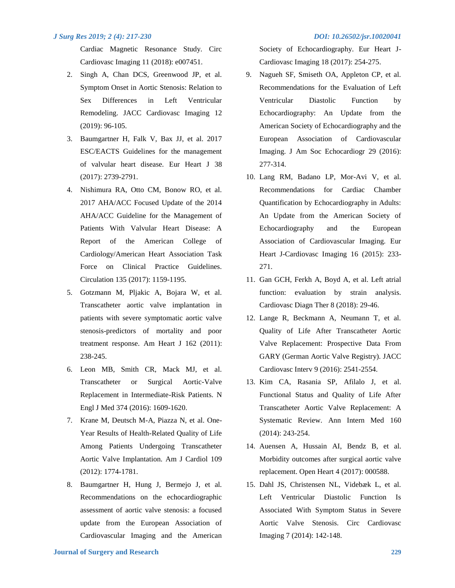Cardiac Magnetic Resonance Study. Circ Cardiovasc Imaging 11 (2018): e007451.

- 2. Singh A, Chan DCS, Greenwood JP, et al. Symptom Onset in Aortic Stenosis: Relation to Sex Differences in Left Ventricular Remodeling. JACC Cardiovasc Imaging 12 (2019): 96-105.
- 3. Baumgartner H, Falk V, Bax JJ, et al. 2017 ESC/EACTS Guidelines for the management of valvular heart disease. Eur Heart J 38 (2017): 2739-2791.
- 4. Nishimura RA, Otto CM, Bonow RO, et al. 2017 AHA/ACC Focused Update of the 2014 AHA/ACC Guideline for the Management of Patients With Valvular Heart Disease: A Report of the American College of Cardiology/American Heart Association Task Force on Clinical Practice Guidelines. Circulation 135 (2017): 1159-1195.
- 5. Gotzmann M, Pljakic A, Bojara W, et al. Transcatheter aortic valve implantation in patients with severe symptomatic aortic valve stenosis-predictors of mortality and poor treatment response. Am Heart J 162 (2011): 238-245.
- 6. Leon MB, Smith CR, Mack MJ, et al. Transcatheter or Surgical Aortic-Valve Replacement in Intermediate-Risk Patients. N Engl J Med 374 (2016): 1609-1620.
- 7. Krane M, Deutsch M-A, Piazza N, et al. One-Year Results of Health-Related Quality of Life Among Patients Undergoing Transcatheter Aortic Valve Implantation. Am J Cardiol 109 (2012): 1774-1781.
- 8. Baumgartner H, Hung J, Bermejo J, et al. Recommendations on the echocardiographic assessment of aortic valve stenosis: a focused update from the European Association of Cardiovascular Imaging and the American

Society of Echocardiography. Eur Heart J-Cardiovasc Imaging 18 (2017): 254-275.

- 9. Nagueh SF, Smiseth OA, Appleton CP, et al. Recommendations for the Evaluation of Left Ventricular Diastolic Function by Echocardiography: An Update from the American Society of Echocardiography and the European Association of Cardiovascular Imaging. J Am Soc Echocardiogr 29 (2016): 277-314.
- 10. Lang RM, Badano LP, Mor-Avi V, et al. Recommendations for Cardiac Chamber Quantification by Echocardiography in Adults: An Update from the American Society of Echocardiography and the European Association of Cardiovascular Imaging. Eur Heart J-Cardiovasc Imaging 16 (2015): 233- 271.
- 11. Gan GCH, Ferkh A, Boyd A, et al. Left atrial function: evaluation by strain analysis. Cardiovasc Diagn Ther 8 (2018): 29-46.
- 12. Lange R, Beckmann A, Neumann T, et al. Quality of Life After Transcatheter Aortic Valve Replacement: Prospective Data From GARY (German Aortic Valve Registry). JACC Cardiovasc Interv 9 (2016): 2541-2554.
- 13. Kim CA, Rasania SP, Afilalo J, et al. Functional Status and Quality of Life After Transcatheter Aortic Valve Replacement: A Systematic Review. Ann Intern Med 160 (2014): 243-254.
- 14. Auensen A, Hussain AI, Bendz B, et al. Morbidity outcomes after surgical aortic valve replacement. Open Heart 4 (2017): 000588.
- 15. Dahl JS, Christensen NL, Videbæk L, et al. Left Ventricular Diastolic Function Is Associated With Symptom Status in Severe Aortic Valve Stenosis. Circ Cardiovasc Imaging 7 (2014): 142-148.